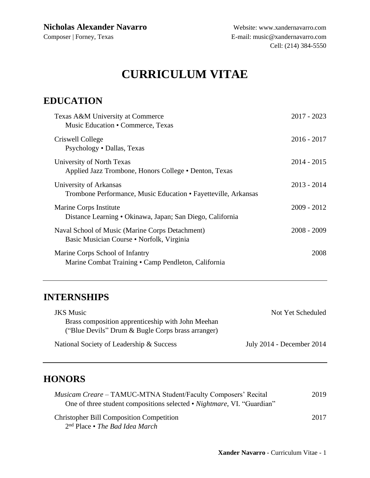# **CURRICULUM VITAE**

#### **EDUCATION**

| Texas A&M University at Commerce<br>Music Education • Commerce, Texas                        | $2017 - 2023$ |
|----------------------------------------------------------------------------------------------|---------------|
| Criswell College<br>Psychology • Dallas, Texas                                               | $2016 - 2017$ |
| University of North Texas<br>Applied Jazz Trombone, Honors College . Denton, Texas           | $2014 - 2015$ |
| University of Arkansas<br>Trombone Performance, Music Education • Fayetteville, Arkansas     | $2013 - 2014$ |
| Marine Corps Institute<br>Distance Learning • Okinawa, Japan; San Diego, California          | $2009 - 2012$ |
| Naval School of Music (Marine Corps Detachment)<br>Basic Musician Course • Norfolk, Virginia | $2008 - 2009$ |
| Marine Corps School of Infantry<br>Marine Combat Training • Camp Pendleton, California       | 2008          |

### **INTERNSHIPS**

| <b>JKS</b> Music                                                                                       | Not Yet Scheduled         |
|--------------------------------------------------------------------------------------------------------|---------------------------|
| Brass composition apprenticeship with John Meehan<br>("Blue Devils" Drum & Bugle Corps brass arranger) |                           |
| National Society of Leadership & Success                                                               | July 2014 - December 2014 |

# **HONORS**

| <i>Musicam Creare</i> – TAMUC-MTNA Student/Faculty Composers' Recital          | 2019 |
|--------------------------------------------------------------------------------|------|
| One of three student compositions selected • <i>Nightmare</i> , VI. "Guardian" |      |
| <b>Christopher Bill Composition Competition</b>                                | 2017 |
| $2nd$ Place • The Bad Idea March                                               |      |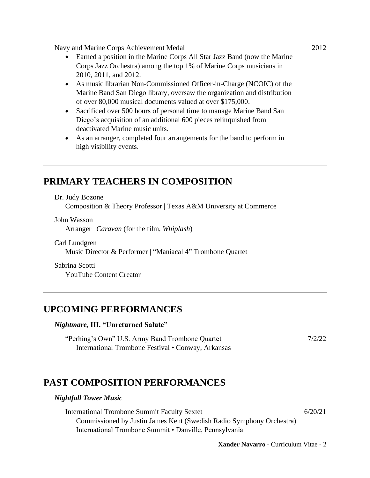Navy and Marine Corps Achievement Medal 2012

- Earned a position in the Marine Corps All Star Jazz Band (now the Marine Corps Jazz Orchestra) among the top 1% of Marine Corps musicians in 2010, 2011, and 2012.
- As music librarian Non-Commissioned Officer-in-Charge (NCOIC) of the Marine Band San Diego library, oversaw the organization and distribution of over 80,000 musical documents valued at over \$175,000.
- Sacrificed over 500 hours of personal time to manage Marine Band San Diego's acquisition of an additional 600 pieces relinquished from deactivated Marine music units.
- As an arranger, completed four arrangements for the band to perform in high visibility events.

#### **PRIMARY TEACHERS IN COMPOSITION**

Dr. Judy Bozone Composition & Theory Professor | Texas A&M University at Commerce

John Wasson

Arranger | *Caravan* (for the film, *Whiplash*)

Carl Lundgren Music Director & Performer | "Maniacal 4" Trombone Quartet

Sabrina Scotti YouTube Content Creator

#### **UPCOMING PERFORMANCES**

#### *Nightmare,* **III. "Unreturned Salute"**

"Perhing's Own" U.S. Army Band Trombone Quartet 7/2/22 International Trombone Festival • Conway, Arkansas

#### **PAST COMPOSITION PERFORMANCES**

#### *Nightfall Tower Music*

International Trombone Summit Faculty Sextet 6/20/21

Commissioned by Justin James Kent (Swedish Radio Symphony Orchestra) International Trombone Summit • Danville, Pennsylvania

**Xander Navarro** - Curriculum Vitae - 2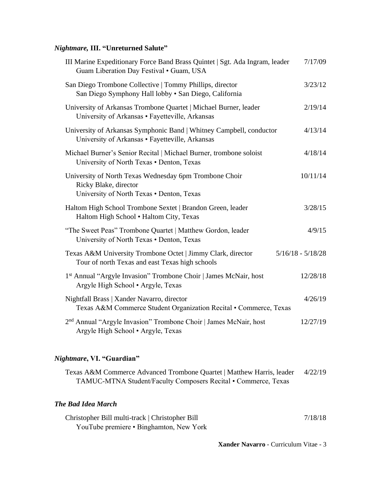#### *Nightmare,* **III. "Unreturned Salute"**

| III Marine Expeditionary Force Band Brass Quintet   Sgt. Ada Ingram, leader<br>Guam Liberation Day Festival . Guam, USA      | 7/17/09             |
|------------------------------------------------------------------------------------------------------------------------------|---------------------|
| San Diego Trombone Collective   Tommy Phillips, director<br>San Diego Symphony Hall lobby . San Diego, California            | 3/23/12             |
| University of Arkansas Trombone Quartet   Michael Burner, leader<br>University of Arkansas • Fayetteville, Arkansas          | 2/19/14             |
| University of Arkansas Symphonic Band   Whitney Campbell, conductor<br>University of Arkansas • Fayetteville, Arkansas       | 4/13/14             |
| Michael Burner's Senior Recital   Michael Burner, trombone soloist<br>University of North Texas • Denton, Texas              | 4/18/14             |
| University of North Texas Wednesday 6pm Trombone Choir<br>Ricky Blake, director<br>University of North Texas . Denton, Texas | 10/11/14            |
| Haltom High School Trombone Sextet   Brandon Green, leader<br>Haltom High School . Haltom City, Texas                        | 3/28/15             |
| "The Sweet Peas" Trombone Quartet   Matthew Gordon, leader<br>University of North Texas . Denton, Texas                      | 4/9/15              |
| Texas A&M University Trombone Octet   Jimmy Clark, director<br>Tour of north Texas and east Texas high schools               | $5/16/18 - 5/18/28$ |
| 1 <sup>st</sup> Annual "Argyle Invasion" Trombone Choir   James McNair, host<br>Argyle High School · Argyle, Texas           | 12/28/18            |
| Nightfall Brass   Xander Navarro, director<br>Texas A&M Commerce Student Organization Recital • Commerce, Texas              | 4/26/19             |
| 2 <sup>nd</sup> Annual "Argyle Invasion" Trombone Choir   James McNair, host<br>Argyle High School · Argyle, Texas           | 12/27/19            |

### *Nightmare***, VI. "Guardian"**

| Texas A&M Commerce Advanced Trombone Quartet   Matthew Harris, leader 4/22/19 |  |
|-------------------------------------------------------------------------------|--|
| TAMUC-MTNA Student/Faculty Composers Recital • Commerce, Texas                |  |

#### *The Bad Idea March*

| Christopher Bill multi-track   Christopher Bill | 7/18/18 |
|-------------------------------------------------|---------|
| YouTube premiere • Binghamton, New York         |         |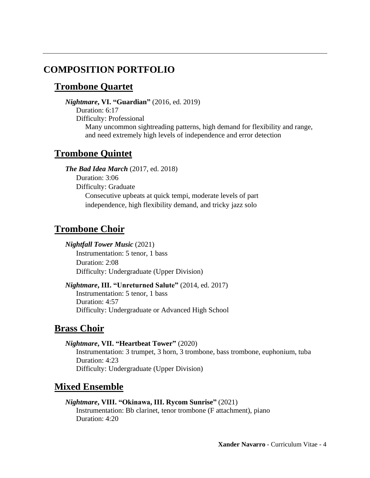### **COMPOSITION PORTFOLIO**

#### **Trombone Quartet**

*Nightmare***, VI. "Guardian"** (2016, ed. 2019)

Duration: 6:17 Difficulty: Professional Many uncommon sightreading patterns, high demand for flexibility and range, and need extremely high levels of independence and error detection

#### **Trombone Quintet**

*The Bad Idea March* (2017, ed. 2018) Duration: 3:06 Difficulty: Graduate Consecutive upbeats at quick tempi, moderate levels of part independence, high flexibility demand, and tricky jazz solo

### **Trombone Choir**

*Nightfall Tower Music* (2021)

Instrumentation: 5 tenor, 1 bass Duration: 2:08 Difficulty: Undergraduate (Upper Division)

#### *Nightmare***, III. "Unreturned Salute"** (2014, ed. 2017)

Instrumentation: 5 tenor, 1 bass Duration: 4:57 Difficulty: Undergraduate or Advanced High School

#### **Brass Choir**

#### *Nightmare***, VII. "Heartbeat Tower"** (2020)

Instrumentation: 3 trumpet, 3 horn, 3 trombone, bass trombone, euphonium, tuba Duration: 4:23 Difficulty: Undergraduate (Upper Division)

#### **Mixed Ensemble**

#### *Nightmare***, VIII. "Okinawa, III. Rycom Sunrise"** (2021) Instrumentation: Bb clarinet, tenor trombone (F attachment), piano Duration: 4:20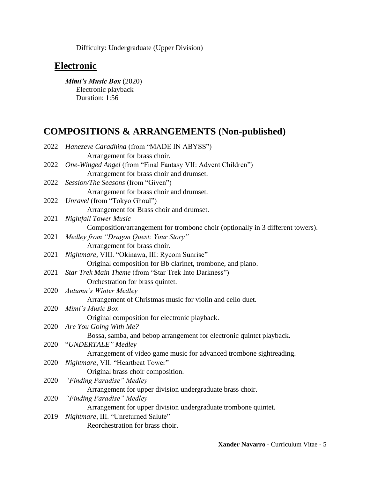Difficulty: Undergraduate (Upper Division)

#### **Electronic**

*Mimi's Music Box* (2020) Electronic playback Duration: 1:56

# **COMPOSITIONS & ARRANGEMENTS (Non-published)**

|      | 2022 Hanezeve Caradhina (from "MADE IN ABYSS")                                 |
|------|--------------------------------------------------------------------------------|
|      | Arrangement for brass choir.                                                   |
| 2022 | One-Winged Angel (from "Final Fantasy VII: Advent Children")                   |
|      | Arrangement for brass choir and drumset.                                       |
| 2022 | Session/The Seasons (from "Given")                                             |
|      | Arrangement for brass choir and drumset.                                       |
| 2022 | Unravel (from "Tokyo Ghoul")                                                   |
|      | Arrangement for Brass choir and drumset.                                       |
| 2021 | <b>Nightfall Tower Music</b>                                                   |
|      | Composition/arrangement for trombone choir (optionally in 3 different towers). |
| 2021 | Medley from "Dragon Quest: Your Story"                                         |
|      | Arrangement for brass choir.                                                   |
| 2021 | Nightmare, VIII. "Okinawa, III: Rycom Sunrise"                                 |
|      | Original composition for Bb clarinet, trombone, and piano.                     |
| 2021 | Star Trek Main Theme (from "Star Trek Into Darkness")                          |
|      | Orchestration for brass quintet.                                               |
| 2020 | Autumn's Winter Medley                                                         |
|      | Arrangement of Christmas music for violin and cello duet.                      |
| 2020 | Mimi's Music Box                                                               |
|      | Original composition for electronic playback.                                  |
| 2020 | Are You Going With Me?                                                         |
|      | Bossa, samba, and bebop arrangement for electronic quintet playback.           |
| 2020 | "UNDERTALE" Medley                                                             |
|      | Arrangement of video game music for advanced trombone sightreading.            |
| 2020 | Nightmare, VII. "Heartbeat Tower"                                              |
|      | Original brass choir composition.                                              |
| 2020 | "Finding Paradise" Medley                                                      |
|      | Arrangement for upper division undergraduate brass choir.                      |
| 2020 | "Finding Paradise" Medley                                                      |
|      | Arrangement for upper division undergraduate trombone quintet.                 |
| 2019 | Nightmare, III. "Unreturned Salute"                                            |
|      | Reorchestration for brass choir.                                               |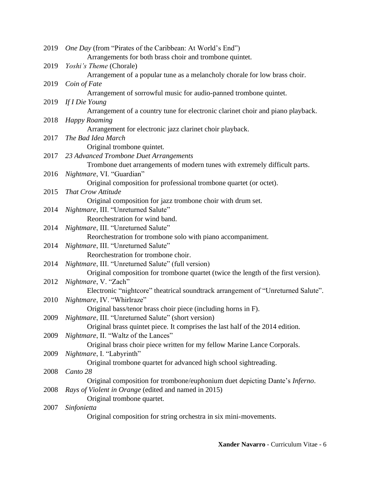| 2019 | One Day (from "Pirates of the Caribbean: At World's End")                          |
|------|------------------------------------------------------------------------------------|
|      | Arrangements for both brass choir and trombone quintet.                            |
| 2019 | Yoshi's Theme (Chorale)                                                            |
|      | Arrangement of a popular tune as a melancholy chorale for low brass choir.         |
| 2019 | Coin of Fate                                                                       |
|      | Arrangement of sorrowful music for audio-panned trombone quintet.                  |
| 2019 | If I Die Young                                                                     |
|      | Arrangement of a country tune for electronic clarinet choir and piano playback.    |
| 2018 | <b>Happy Roaming</b>                                                               |
|      | Arrangement for electronic jazz clarinet choir playback.                           |
| 2017 | The Bad Idea March                                                                 |
|      | Original trombone quintet.                                                         |
| 2017 | 23 Advanced Trombone Duet Arrangements                                             |
|      | Trombone duet arrangements of modern tunes with extremely difficult parts.         |
| 2016 | Nightmare, VI. "Guardian"                                                          |
|      | Original composition for professional trombone quartet (or octet).                 |
| 2015 | That Crow Attitude                                                                 |
|      | Original composition for jazz trombone choir with drum set.                        |
| 2014 | Nightmare, III. "Unreturned Salute"                                                |
|      | Reorchestration for wind band.                                                     |
| 2014 | Nightmare, III. "Unreturned Salute"                                                |
|      | Reorchestration for trombone solo with piano accompaniment.                        |
| 2014 | Nightmare, III. "Unreturned Salute"                                                |
|      | Reorchestration for trombone choir.                                                |
| 2014 | Nightmare, III. "Unreturned Salute" (full version)                                 |
|      | Original composition for trombone quartet (twice the length of the first version). |
| 2012 | Nightmare, V. "Zach"                                                               |
|      | Electronic "nightcore" theatrical soundtrack arrangement of "Unreturned Salute".   |
| 2010 | Nightmare, IV. "Whirlraze"                                                         |
|      | Original bass/tenor brass choir piece (including horns in F).                      |
| 2009 | <i>Nightmare</i> , III. "Unreturned Salute" (short version)                        |
|      | Original brass quintet piece. It comprises the last half of the 2014 edition.      |
| 2009 | Nightmare, II. "Waltz of the Lances"                                               |
|      | Original brass choir piece written for my fellow Marine Lance Corporals.           |
| 2009 | Nightmare, I. "Labyrinth"                                                          |
|      | Original trombone quartet for advanced high school sightreading.                   |
| 2008 | Canto 28                                                                           |
|      | Original composition for trombone/euphonium duet depicting Dante's Inferno.        |
| 2008 | Rays of Violent in Orange (edited and named in 2015)                               |
|      | Original trombone quartet.                                                         |
| 2007 | Sinfonietta                                                                        |
|      | Original composition for string orchestra in six mini-movements.                   |